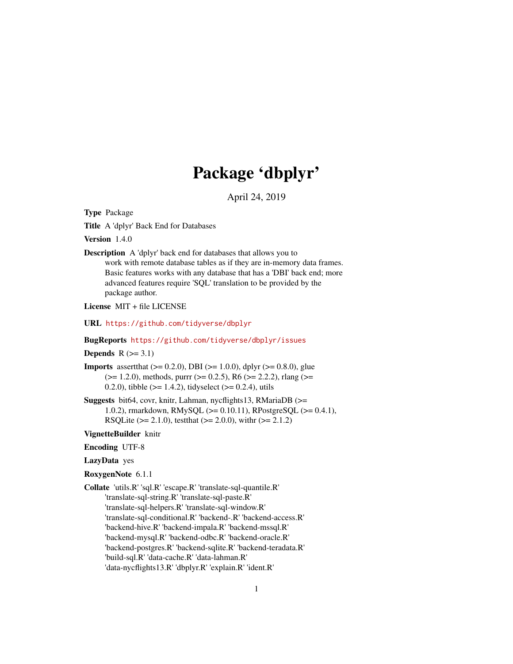# Package 'dbplyr'

April 24, 2019

<span id="page-0-0"></span>Type Package

Title A 'dplyr' Back End for Databases

Version 1.4.0

Description A 'dplyr' back end for databases that allows you to work with remote database tables as if they are in-memory data frames. Basic features works with any database that has a 'DBI' back end; more advanced features require 'SQL' translation to be provided by the package author.

License MIT + file LICENSE

URL <https://github.com/tidyverse/dbplyr>

# BugReports <https://github.com/tidyverse/dbplyr/issues>

# Depends  $R$  ( $>= 3.1$ )

- **Imports** assert that  $(>= 0.2.0)$ , DBI  $(>= 1.0.0)$ , dplyr  $(>= 0.8.0)$ , glue  $(>= 1.2.0)$ , methods, purrr  $(>= 0.2.5)$ , R6  $(>= 2.2.2)$ , rlang  $(>= 1.2.0)$ 0.2.0), tibble ( $>= 1.4.2$ ), tidyselect ( $>= 0.2.4$ ), utils
- Suggests bit64, covr, knitr, Lahman, nycflights13, RMariaDB (>= 1.0.2), rmarkdown, RMySQL (>= 0.10.11), RPostgreSQL (>= 0.4.1), RSQLite ( $>= 2.1.0$ ), testthat ( $>= 2.0.0$ ), with ( $>= 2.1.2$ )

# VignetteBuilder knitr

- Encoding UTF-8
- LazyData yes
- RoxygenNote 6.1.1
- Collate 'utils.R' 'sql.R' 'escape.R' 'translate-sql-quantile.R' 'translate-sql-string.R' 'translate-sql-paste.R' 'translate-sql-helpers.R' 'translate-sql-window.R' 'translate-sql-conditional.R' 'backend-.R' 'backend-access.R' 'backend-hive.R' 'backend-impala.R' 'backend-mssql.R' 'backend-mysql.R' 'backend-odbc.R' 'backend-oracle.R' 'backend-postgres.R' 'backend-sqlite.R' 'backend-teradata.R' 'build-sql.R' 'data-cache.R' 'data-lahman.R' 'data-nycflights13.R' 'dbplyr.R' 'explain.R' 'ident.R'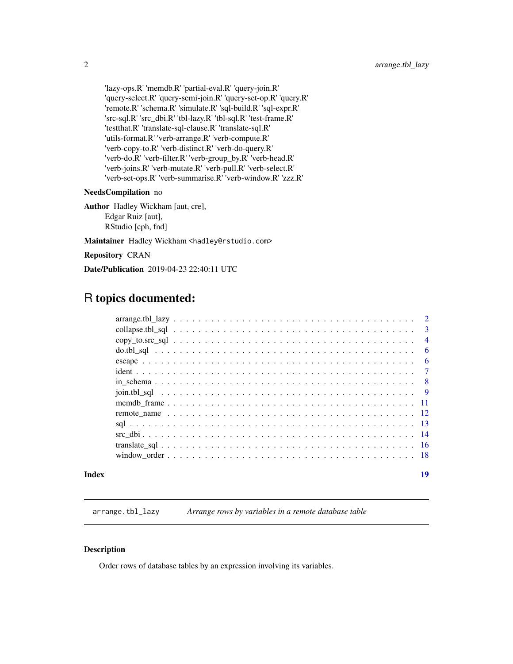<span id="page-1-0"></span>'lazy-ops.R' 'memdb.R' 'partial-eval.R' 'query-join.R' 'query-select.R' 'query-semi-join.R' 'query-set-op.R' 'query.R' 'remote.R' 'schema.R' 'simulate.R' 'sql-build.R' 'sql-expr.R' 'src-sql.R' 'src\_dbi.R' 'tbl-lazy.R' 'tbl-sql.R' 'test-frame.R' 'testthat.R' 'translate-sql-clause.R' 'translate-sql.R' 'utils-format.R' 'verb-arrange.R' 'verb-compute.R' 'verb-copy-to.R' 'verb-distinct.R' 'verb-do-query.R' 'verb-do.R' 'verb-filter.R' 'verb-group\_by.R' 'verb-head.R' 'verb-joins.R' 'verb-mutate.R' 'verb-pull.R' 'verb-select.R' 'verb-set-ops.R' 'verb-summarise.R' 'verb-window.R' 'zzz.R'

### NeedsCompilation no

Author Hadley Wickham [aut, cre], Edgar Ruiz [aut], RStudio [cph, fnd]

Maintainer Hadley Wickham <hadley@rstudio.com>

Repository CRAN

Date/Publication 2019-04-23 22:40:11 UTC

# R topics documented:

|  | $\overline{3}$ |
|--|----------------|
|  | $\overline{4}$ |
|  | - 6            |
|  | - 6            |
|  |                |
|  |                |
|  | $\overline{9}$ |
|  |                |
|  |                |
|  |                |
|  |                |
|  |                |
|  |                |
|  |                |

# **Index** 2008 **[19](#page-18-0)99**

arrange.tbl\_lazy *Arrange rows by variables in a remote database table*

# Description

Order rows of database tables by an expression involving its variables.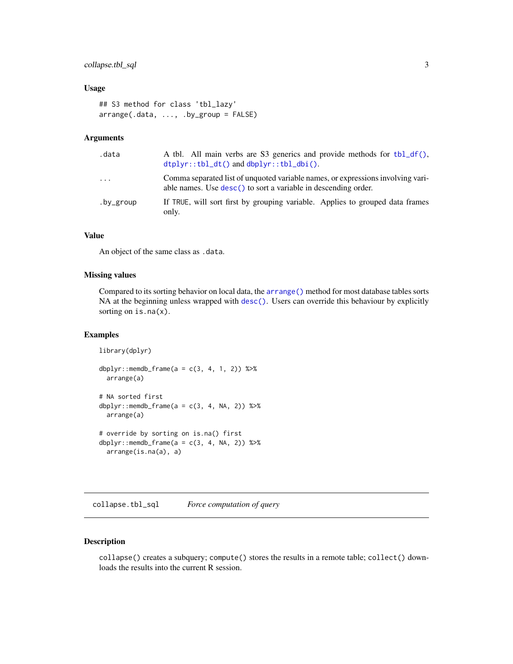# <span id="page-2-0"></span>collapse.tbl\_sql 3

# Usage

```
## S3 method for class 'tbl_lazy'
arrange(.data, ..., .by_group = FALSE)
```
# Arguments

| .data      | A tbl. All main verbs are S3 generics and provide methods for $\text{tbl}_d(f)$ ,<br>$dtplyr::tbl_dt()$ and $dbplyr::tbl_dbi()$ .                 |
|------------|---------------------------------------------------------------------------------------------------------------------------------------------------|
| $\ddots$ . | Comma separated list of unquoted variable names, or expressions involving vari-<br>able names. Use desc() to sort a variable in descending order. |
| .by_group  | If TRUE, will sort first by grouping variable. Applies to grouped data frames<br>only.                                                            |

# Value

An object of the same class as .data.

# Missing values

Compared to its sorting behavior on local data, the [arrange\(\)](#page-0-0) method for most database tables sorts NA at the beginning unless wrapped with [desc\(\)](#page-0-0). Users can override this behaviour by explicitly sorting on is.na(x).

# Examples

```
library(dplyr)
dbplyr::memdb_frame(a = c(3, 4, 1, 2)) %>%
  arrange(a)
# NA sorted first
dbplyr::memdb_frame(a = c(3, 4, NA, 2)) %>%
  arrange(a)
# override by sorting on is.na() first
dbplyr::memdb_frame(a = c(3, 4, NA, 2)) %>%
  arrange(is.na(a), a)
```
collapse.tbl\_sql *Force computation of query*

# Description

collapse() creates a subquery; compute() stores the results in a remote table; collect() downloads the results into the current R session.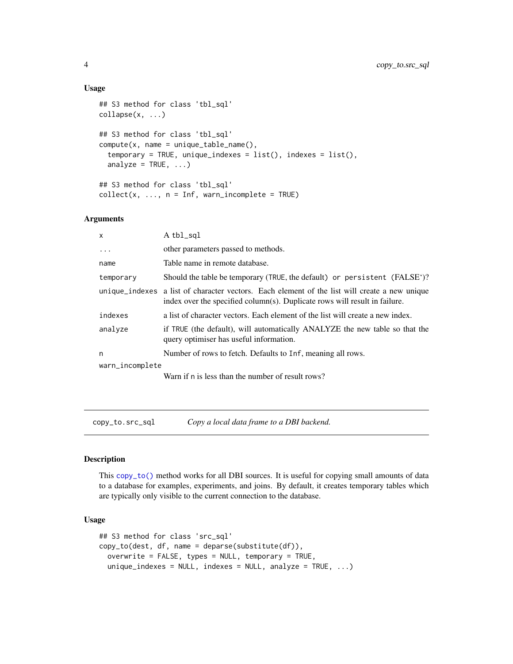### Usage

```
## S3 method for class 'tbl_sql'
\text{collapse}(x, \ldots)## S3 method for class 'tbl_sql'
compute(x, name = unique_table_name(),
  temporary = TRUE, unique_indexes = list(), indexes = list(),
  analyze = TRUE, ...)
## S3 method for class 'tbl_sql'
collect(x, ..., n = Inf, warn_incomplete = TRUE)
```
### Arguments

| $\mathsf{x}$    | A tbl_sql                                                                                                                                                                   |
|-----------------|-----------------------------------------------------------------------------------------------------------------------------------------------------------------------------|
| $\ddots$        | other parameters passed to methods.                                                                                                                                         |
| name            | Table name in remote database.                                                                                                                                              |
| temporary       | Should the table be temporary (TRUE, the default) or persistent (FALSE')?                                                                                                   |
|                 | unique_indexes a list of character vectors. Each element of the list will create a new unique<br>index over the specified column(s). Duplicate rows will result in failure. |
| indexes         | a list of character vectors. Each element of the list will create a new index.                                                                                              |
| analyze         | if TRUE (the default), will automatically ANALYZE the new table so that the<br>query optimiser has useful information.                                                      |
| n               | Number of rows to fetch. Defaults to Inf, meaning all rows.                                                                                                                 |
| warn_incomplete |                                                                                                                                                                             |
|                 | Warn if n is less than the number of result rows?                                                                                                                           |

copy\_to.src\_sql *Copy a local data frame to a DBI backend.*

# Description

This [copy\\_to\(\)](#page-0-0) method works for all DBI sources. It is useful for copying small amounts of data to a database for examples, experiments, and joins. By default, it creates temporary tables which are typically only visible to the current connection to the database.

#### Usage

```
## S3 method for class 'src_sql'
copy_to(dest, df, name = deparse(substitute(df)),
 overwrite = FALSE, types = NULL, temporary = TRUE,
  unique\_indexes = NULL, indexes = NULL, andize = TRUE, ...)
```
<span id="page-3-0"></span>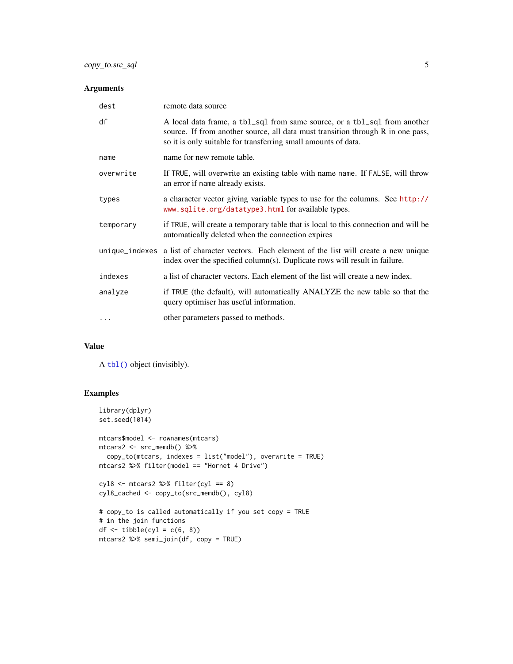# <span id="page-4-0"></span>Arguments

| dest      | remote data source                                                                                                                                                                                                             |
|-----------|--------------------------------------------------------------------------------------------------------------------------------------------------------------------------------------------------------------------------------|
| df        | A local data frame, a tbl_sql from same source, or a tbl_sql from another<br>source. If from another source, all data must transition through R in one pass,<br>so it is only suitable for transferring small amounts of data. |
| name      | name for new remote table.                                                                                                                                                                                                     |
| overwrite | If TRUE, will overwrite an existing table with name name. If FALSE, will throw<br>an error if name already exists.                                                                                                             |
| types     | a character vector giving variable types to use for the columns. See http://<br>www.sqlite.org/datatype3.html for available types.                                                                                             |
| temporary | if TRUE, will create a temporary table that is local to this connection and will be<br>automatically deleted when the connection expires                                                                                       |
|           | unique_indexes a list of character vectors. Each element of the list will create a new unique<br>index over the specified column(s). Duplicate rows will result in failure.                                                    |
| indexes   | a list of character vectors. Each element of the list will create a new index.                                                                                                                                                 |
| analyze   | if TRUE (the default), will automatically ANALYZE the new table so that the<br>query optimiser has useful information.                                                                                                         |
| .         | other parameters passed to methods.                                                                                                                                                                                            |

# Value

A [tbl\(\)](#page-0-0) object (invisibly).

```
library(dplyr)
set.seed(1014)
mtcars$model <- rownames(mtcars)
mtcars2 <- src_memdb() %>%
  copy_to(mtcars, indexes = list("model"), overwrite = TRUE)
mtcars2 %>% filter(model == "Hornet 4 Drive")
cyl8 \leftarrow mtcars2 %>% filter(cyl == 8)
cyl8_cached <- copy_to(src_memdb(), cyl8)
# copy_to is called automatically if you set copy = TRUE
# in the join functions
df \leftarrow tible(cyl = c(6, 8))mtcars2 %>% semi_join(df, copy = TRUE)
```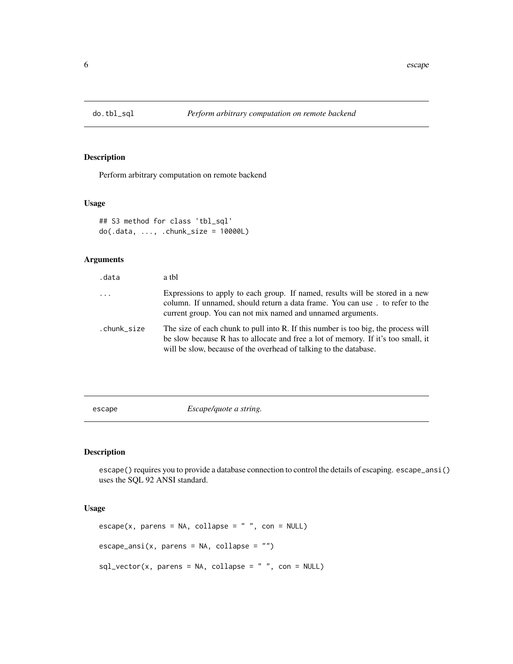<span id="page-5-0"></span>

# Description

Perform arbitrary computation on remote backend

# Usage

```
## S3 method for class 'tbl_sql'
do(.data, ..., .chunk_size = 10000L)
```
# Arguments

| .data       | a tbl                                                                                                                                                                                                                                        |
|-------------|----------------------------------------------------------------------------------------------------------------------------------------------------------------------------------------------------------------------------------------------|
| $\cdots$    | Expressions to apply to each group. If named, results will be stored in a new<br>column. If unnamed, should return a data frame. You can use. to refer to the<br>current group. You can not mix named and unnamed arguments.                 |
| .chunk_size | The size of each chunk to pull into R. If this number is too big, the process will<br>be slow because R has to allocate and free a lot of memory. If it's too small, it<br>will be slow, because of the overhead of talking to the database. |

escape *Escape/quote a string.*

# Description

escape() requires you to provide a database connection to control the details of escaping. escape\_ansi() uses the SQL 92 ANSI standard.

# Usage

```
\text{escape}(x, \text{ parents} = \text{NA}, \text{ collapse} = "", \text{con} = \text{NULL})escape\_ansi(x, parents = NA, collapse = "")sql\_vector(x, parents = NA, collapse = " ", coin = NULL)
```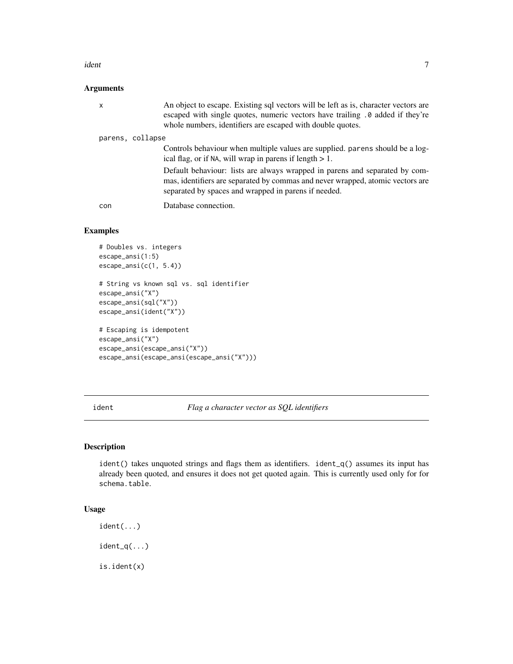#### <span id="page-6-0"></span>ident to the contract of the contract of the contract of the contract of the contract of the contract of the contract of the contract of the contract of the contract of the contract of the contract of the contract of the c

# Arguments

| X                | An object to escape. Existing sql vectors will be left as is, character vectors are<br>escaped with single quotes, numeric vectors have trailing . 0 added if they're<br>whole numbers, identifiers are escaped with double quotes. |
|------------------|-------------------------------------------------------------------------------------------------------------------------------------------------------------------------------------------------------------------------------------|
| parens, collapse |                                                                                                                                                                                                                                     |
|                  | Controls behaviour when multiple values are supplied, parens should be a log-<br>ical flag, or if NA, will wrap in parens if length $> 1$ .                                                                                         |
|                  | Default behaviour: lists are always wrapped in parens and separated by com-<br>mas, identifiers are separated by commas and never wrapped, atomic vectors are<br>separated by spaces and wrapped in parens if needed.               |
| con              | Database connection.                                                                                                                                                                                                                |

# Examples

```
# Doubles vs. integers
escape_ansi(1:5)
escape_ansi(c(1, 5.4))
# String vs known sql vs. sql identifier
escape_ansi("X")
escape_ansi(sql("X"))
escape_ansi(ident("X"))
# Escaping is idempotent
escape_ansi("X")
escape_ansi(escape_ansi("X"))
escape_ansi(escape_ansi(escape_ansi("X")))
```
ident *Flag a character vector as SQL identifiers*

# Description

ident() takes unquoted strings and flags them as identifiers. ident $_q$ () assumes its input has already been quoted, and ensures it does not get quoted again. This is currently used only for for schema.table.

#### Usage

ident(...)

ident\_q(...)

is.ident(x)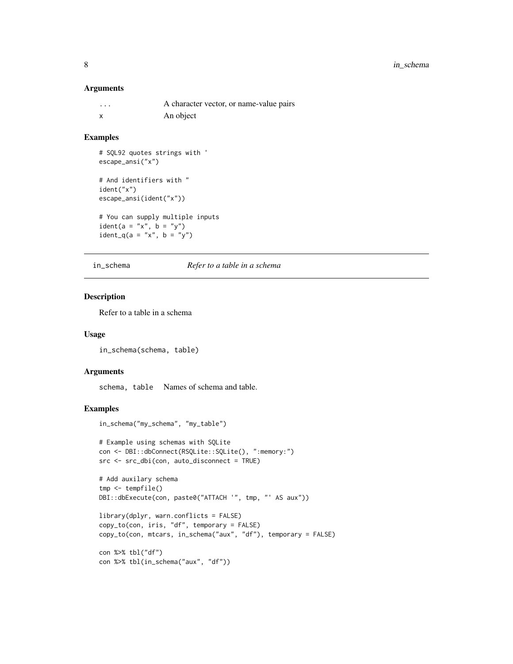#### <span id="page-7-0"></span>Arguments

| . | A character vector, or name-value pairs |
|---|-----------------------------------------|
| x | An object                               |

# Examples

```
# SQL92 quotes strings with '
escape_ansi("x")
```

```
# And identifiers with "
ident("x")
escape_ansi(ident("x"))
```

```
# You can supply multiple inputs
ident(a = "x", b = "y")ident_q(a = "x", b = "y")
```
#### in\_schema *Refer to a table in a schema*

# Description

Refer to a table in a schema

#### Usage

in\_schema(schema, table)

#### Arguments

schema, table Names of schema and table.

```
in_schema("my_schema", "my_table")
```

```
# Example using schemas with SQLite
con <- DBI::dbConnect(RSQLite::SQLite(), ":memory:")
src <- src_dbi(con, auto_disconnect = TRUE)
```

```
# Add auxilary schema
tmp <- tempfile()
DBI::dbExecute(con, paste0("ATTACH '", tmp, "' AS aux"))
```

```
library(dplyr, warn.conflicts = FALSE)
copy_to(con, iris, "df", temporary = FALSE)
copy_to(con, mtcars, in_schema("aux", "df"), temporary = FALSE)
```

```
con %>% tbl("df")
con %>% tbl(in_schema("aux", "df"))
```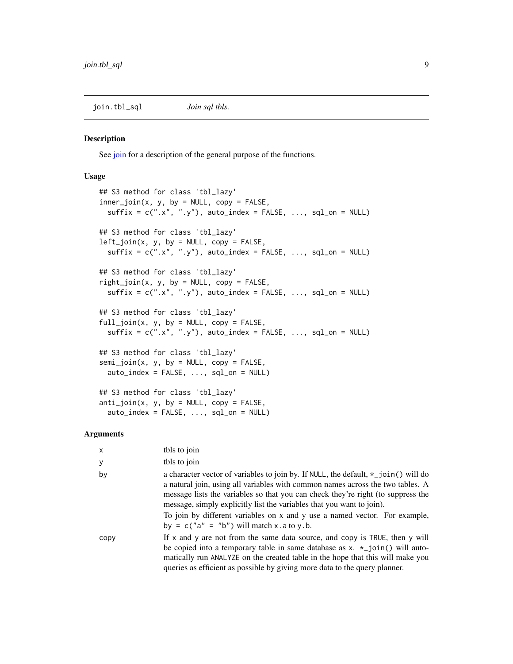<span id="page-8-0"></span>join.tbl\_sql *Join sql tbls.*

#### Description

See [join](#page-0-0) for a description of the general purpose of the functions.

### Usage

```
## S3 method for class 'tbl_lazy'
inner\_join(x, y, by = NULL, copy = FALSE,suffix = c("x", "y"), auto_index = FALSE, ..., sql,on = NULL)## S3 method for class 'tbl_lazy'
left\_join(x, y, by = NULL, copy = FALSE,suffix = c("x", "y"), auto_index = FALSE, ..., sql-on = NULL)## S3 method for class 'tbl_lazy'
right_join(x, y, by = NULL, copy = FALSE,
  suffix = c("x", "y"), auto_index = FALSE, ..., sql-on = NULL)## S3 method for class 'tbl_lazy'
full\_join(x, y, by = NULL, copy = FALSE,suffix = c(".x", ".y"), auto_index = FALSE, ..., sql_on = NULL)
## S3 method for class 'tbl_lazy'
semi_join(x, y, by = NULL, copy = FALSE,
 auto\_index = FALSE, ..., sal\_on = NULL)## S3 method for class 'tbl_lazy'
anti\_join(x, y, by = NULL, copy = FALSE,auto\_index = FALSE, ..., sal\_on = NULL)
```
# Arguments

| X    | tbls to join                                                                                                                                                                                                                                                                                                                                                                                                                                                         |
|------|----------------------------------------------------------------------------------------------------------------------------------------------------------------------------------------------------------------------------------------------------------------------------------------------------------------------------------------------------------------------------------------------------------------------------------------------------------------------|
| У    | tbls to join                                                                                                                                                                                                                                                                                                                                                                                                                                                         |
| by   | a character vector of variables to join by. If NULL, the default, $\star$ _join() will do<br>a natural join, using all variables with common names across the two tables. A<br>message lists the variables so that you can check they're right (to suppress the<br>message, simply explicitly list the variables that you want to join).<br>To join by different variables on x and y use a named vector. For example,<br>by = $c("a" = "b")$ will match x.a to y.b. |
| copy | If $x$ and $y$ are not from the same data source, and copy is TRUE, then $y$ will<br>be copied into a temporary table in same database as $x. *$ join() will auto-<br>matically run ANALYZE on the created table in the hope that this will make you<br>queries as efficient as possible by giving more data to the query planner.                                                                                                                                   |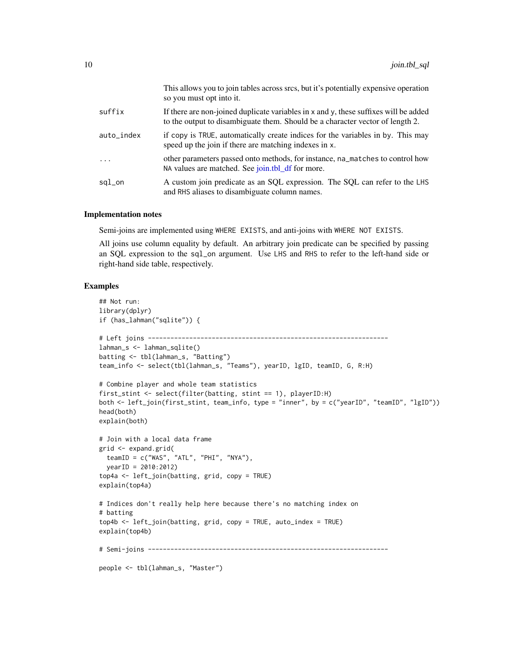<span id="page-9-0"></span>

|            | This allows you to join tables across srcs, but it's potentially expensive operation<br>so you must opt into it.                                                      |
|------------|-----------------------------------------------------------------------------------------------------------------------------------------------------------------------|
| suffix     | If there are non-joined duplicate variables in x and y, these suffixes will be added<br>to the output to disambiguate them. Should be a character vector of length 2. |
| auto_index | if copy is TRUE, automatically create indices for the variables in by. This may<br>speed up the join if there are matching indexes in x.                              |
| .          | other parameters passed onto methods, for instance, na_matches to control how<br>NA values are matched. See join.tbl_df for more.                                     |
| sql_on     | A custom join predicate as an SQL expression. The SQL can refer to the LHS<br>and RHS aliases to disambiguate column names.                                           |

#### Implementation notes

Semi-joins are implemented using WHERE EXISTS, and anti-joins with WHERE NOT EXISTS.

All joins use column equality by default. An arbitrary join predicate can be specified by passing an SQL expression to the sql\_on argument. Use LHS and RHS to refer to the left-hand side or right-hand side table, respectively.

```
## Not run:
library(dplyr)
if (has_lahman("sqlite")) {
# Left joins ----------------------------------------------------------------
lahman_s <- lahman_sqlite()
batting <- tbl(lahman_s, "Batting")
team_info <- select(tbl(lahman_s, "Teams"), yearID, lgID, teamID, G, R:H)
# Combine player and whole team statistics
first_stint <- select(filter(batting, stint == 1), playerID:H)
both <- left_join(first_stint, team_info, type = "inner", by = c("yearID", "teamID", "lgID"))
head(both)
explain(both)
# Join with a local data frame
grid <- expand.grid(
  \text{teamID} = c("WAS", "ATL", "PHI", "NYA"),yearID = 2010:2012)
top4a <- left_join(batting, grid, copy = TRUE)
explain(top4a)
# Indices don't really help here because there's no matching index on
# batting
top4b <- left_join(batting, grid, copy = TRUE, auto_index = TRUE)
explain(top4b)
# Semi-joins ----------------------------------------------------------------
people <- tbl(lahman_s, "Master")
```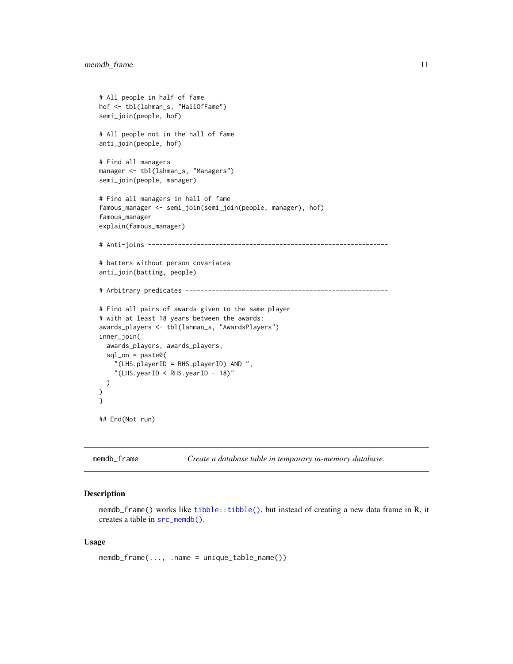```
# All people in half of fame
hof <- tbl(lahman_s, "HallOfFame")
semi_join(people, hof)
# All people not in the hall of fame
anti_join(people, hof)
# Find all managers
manager <- tbl(lahman_s, "Managers")
semi_join(people, manager)
# Find all managers in hall of fame
famous_manager <- semi_join(semi_join(people, manager), hof)
famous_manager
explain(famous_manager)
# Anti-joins ----------------------------------------------------------------
# batters without person covariates
anti_join(batting, people)
# Arbitrary predicates ------------------------------------------------------
# Find all pairs of awards given to the same player
# with at least 18 years between the awards:
awards_players <- tbl(lahman_s, "AwardsPlayers")
inner_join(
  awards_players, awards_players,
  sql\_on = paste@("(LHS.playerID = RHS.playerID) AND ",
    "(LHS.yearID < RHS.yearID - 18)"
  )
)
}
## End(Not run)
```
memdb\_frame *Create a database table in temporary in-memory database.*

#### <span id="page-10-1"></span>Description

memdb\_frame() works like [tibble::tibble\(\)](#page-0-0), but instead of creating a new data frame in R, it creates a table in [src\\_memdb\(\)](#page-10-1).

#### Usage

memdb\_frame(..., .name = unique\_table\_name())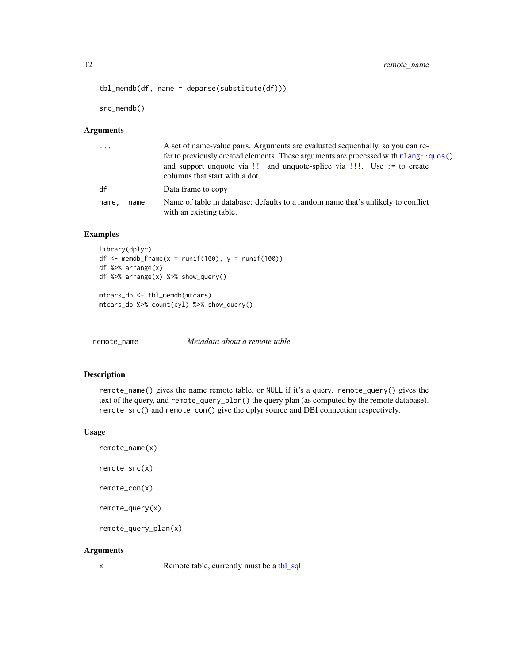```
12 remote_name
```

```
tbl<sub>memdb</sub>(df, name = deparse(substitute(df)))
```
src\_memdb()

# Arguments

| $\cdots$       | A set of name-value pairs. Arguments are evaluated sequentially, so you can re-<br>fer to previously created elements. These arguments are processed with r l ang: : quos()<br>and support unquote via !! and unquote-splice via !!!. Use := to create<br>columns that start with a dot. |
|----------------|------------------------------------------------------------------------------------------------------------------------------------------------------------------------------------------------------------------------------------------------------------------------------------------|
| df             | Data frame to copy                                                                                                                                                                                                                                                                       |
| name,<br>.name | Name of table in database: defaults to a random name that's unlikely to conflict<br>with an existing table.                                                                                                                                                                              |

# Examples

```
library(dplyr)
df \le memdb_frame(x = runif(100), y = runif(100))
df %>% arrange(x)
df %>% arrange(x) %>% show_query()
mtcars_db <- tbl_memdb(mtcars)
mtcars_db %>% count(cyl) %>% show_query()
```
remote\_name *Metadata about a remote table*

# Description

remote\_name() gives the name remote table, or NULL if it's a query. remote\_query() gives the text of the query, and remote\_query\_plan() the query plan (as computed by the remote database). remote\_src() and remote\_con() give the dplyr source and DBI connection respectively.

## Usage

```
remote_name(x)
remote_src(x)
remote_con(x)
remote_query(x)
remote_query_plan(x)
```

```
Arguments
```

```
tbl_sql.
```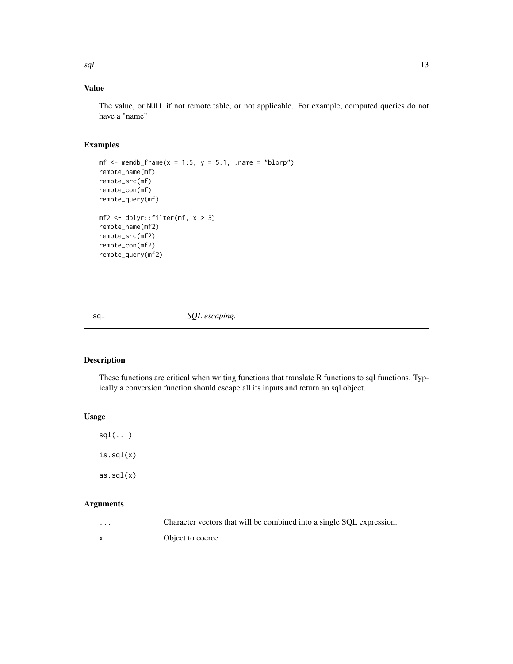# <span id="page-12-0"></span>Value

The value, or NULL if not remote table, or not applicable. For example, computed queries do not have a "name"

# Examples

```
mf \leq memdb_frame(x = 1:5, y = 5:1, .name = "blorp")
remote_name(mf)
remote_src(mf)
remote_con(mf)
remote_query(mf)
mf2 \leftarrow dplyr::filter(mf, x > 3)remote_name(mf2)
remote_src(mf2)
remote_con(mf2)
remote_query(mf2)
```
<span id="page-12-1"></span>

sql  $SQL\ escaping.$ 

# Description

These functions are critical when writing functions that translate R functions to sql functions. Typically a conversion function should escape all its inputs and return an sql object.

# Usage

 $sgl(...)$ is.sql(x)  $as.sql(x)$ 

# Arguments

... Character vectors that will be combined into a single SQL expression.

x Object to coerce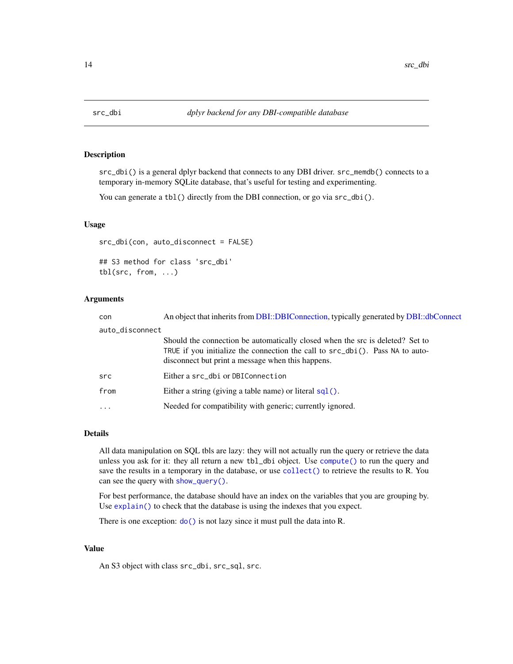<span id="page-13-0"></span>

## Description

src\_dbi() is a general dplyr backend that connects to any DBI driver. src\_memdb() connects to a temporary in-memory SQLite database, that's useful for testing and experimenting.

You can generate a tbl() directly from the DBI connection, or go via  $src\_dbi()$ .

# Usage

src\_dbi(con, auto\_disconnect = FALSE)

## S3 method for class 'src\_dbi' tbl(src, from, ...)

# Arguments

| con             | An object that inherits from DBI::DBIConnection, typically generated by DBI::dbConnect                                                                                                                              |
|-----------------|---------------------------------------------------------------------------------------------------------------------------------------------------------------------------------------------------------------------|
| auto_disconnect |                                                                                                                                                                                                                     |
|                 | Should the connection be automatically closed when the src is deleted? Set to<br>TRUE if you initialize the connection the call to src_dbi(). Pass NA to auto-<br>disconnect but print a message when this happens. |
| src             | Either a src_dbi or DBIConnection                                                                                                                                                                                   |
| from            | Either a string (giving a table name) or literal $sql()$ .                                                                                                                                                          |
| $\cdot$         | Needed for compatibility with generic; currently ignored.                                                                                                                                                           |

# Details

All data manipulation on SQL tbls are lazy: they will not actually run the query or retrieve the data unless you ask for it: they all return a new tbl\_dbi object. Use [compute\(\)](#page-0-0) to run the query and save the results in a temporary in the database, or use [collect\(\)](#page-0-0) to retrieve the results to R. You can see the query with [show\\_query\(\)](#page-0-0).

For best performance, the database should have an index on the variables that you are grouping by. Use [explain\(\)](#page-0-0) to check that the database is using the indexes that you expect.

There is one exception:  $do()$  is not lazy since it must pull the data into R.

# Value

An S3 object with class src\_dbi, src\_sql, src.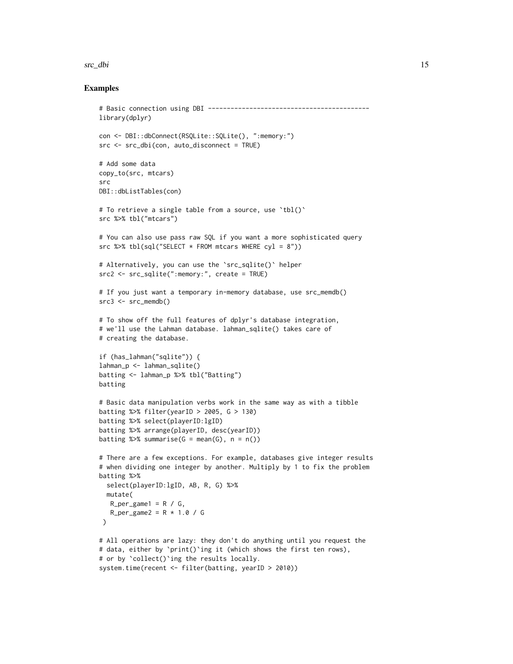#### src\_dbi 15

```
# Basic connection using DBI -------------------------------------------
library(dplyr)
con <- DBI::dbConnect(RSQLite::SQLite(), ":memory:")
src <- src_dbi(con, auto_disconnect = TRUE)
# Add some data
copy_to(src, mtcars)
src
DBI::dbListTables(con)
# To retrieve a single table from a source, use `tbl()`
src %>% tbl("mtcars")
# You can also use pass raw SQL if you want a more sophisticated query
src %>% tbl(sql("SELECT * FROM mtcars WHERE cyl = 8"))
# Alternatively, you can use the `src_sqlite()` helper
src2 <- src_sqlite(":memory:", create = TRUE)
# If you just want a temporary in-memory database, use src_memdb()
src3 \leq src_meandb()# To show off the full features of dplyr's database integration,
# we'll use the Lahman database. lahman_sqlite() takes care of
# creating the database.
if (has_lahman("sqlite")) {
lahman_p <- lahman_sqlite()
batting <- lahman_p %>% tbl("Batting")
batting
# Basic data manipulation verbs work in the same way as with a tibble
batting %>% filter(yearID > 2005, G > 130)
batting %>% select(playerID:lgID)
batting %>% arrange(playerID, desc(yearID))
batting \gg% summarise(G = mean(G), n = n())
# There are a few exceptions. For example, databases give integer results
# when dividing one integer by another. Multiply by 1 to fix the problem
batting %>%
  select(playerID:lgID, AB, R, G) %>%
  mutate(
  R_{per\_game1} = R / G,
   R_{per\_game2} = R * 1.0 / G)
# All operations are lazy: they don't do anything until you request the
# data, either by `print()`ing it (which shows the first ten rows),
# or by `collect()`ing the results locally.
system.time(recent <- filter(batting, yearID > 2010))
```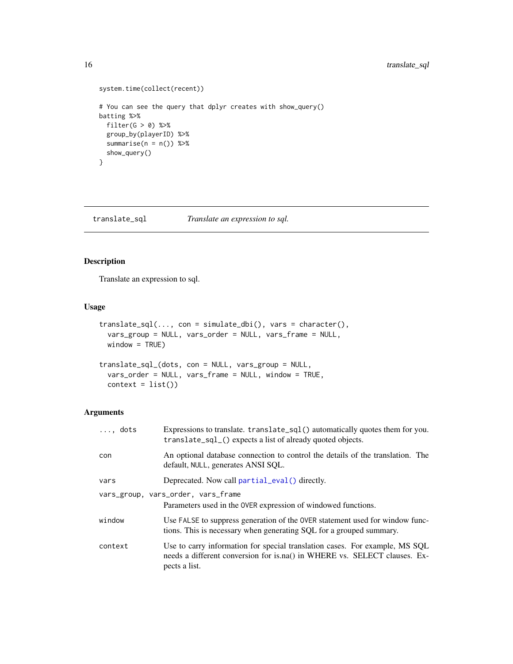# <span id="page-15-0"></span>16 translate\_sql

```
system.time(collect(recent))
# You can see the query that dplyr creates with show_query()
batting %>%
 filter(G > 0) %>%
  group_by(playerID) %>%
  summarise(n = n()) %>%
  show_query()
}
```
translate\_sql *Translate an expression to sql.*

# Description

Translate an expression to sql.

 $context = list()$ 

# Usage

```
translate_sql(..., con = simulate_dbi(), vars = character(),
 vars_group = NULL, vars_order = NULL, vars_frame = NULL,
 window = TRUE)
translate_sql_(dots, con = NULL, vars_group = NULL,
 vars_order = NULL, vars_frame = NULL, window = TRUE,
```
# Arguments

| $\ldots$ , dots | Expressions to translate. translate_sql() automatically quotes them for you.<br>translate_sql_() expects a list of already quoted objects.                                |
|-----------------|---------------------------------------------------------------------------------------------------------------------------------------------------------------------------|
| con             | An optional database connection to control the details of the translation. The<br>default, NULL, generates ANSI SQL.                                                      |
| vars            | Deprecated. Now call partial_eval() directly.                                                                                                                             |
|                 | vars_group, vars_order, vars_frame<br>Parameters used in the OVER expression of windowed functions.                                                                       |
| window          | Use FALSE to suppress generation of the OVER statement used for window func-<br>tions. This is necessary when generating SQL for a grouped summary.                       |
| context         | Use to carry information for special translation cases. For example, MS SQL<br>needs a different conversion for is.na() in WHERE vs. SELECT clauses. Ex-<br>pects a list. |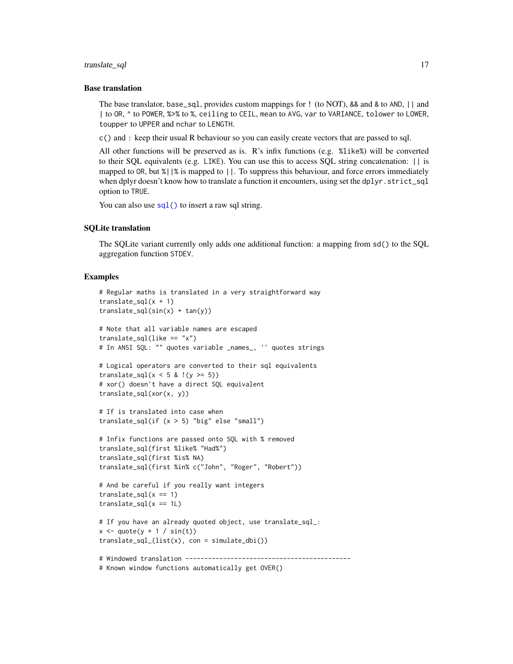#### <span id="page-16-0"></span>translate\_sql 17

#### Base translation

The base translator, base\_sql, provides custom mappings for ! (to NOT), && and & to AND, || and | to OR, ^ to POWER, %>% to %, ceiling to CEIL, mean to AVG, var to VARIANCE, tolower to LOWER, toupper to UPPER and nchar to LENGTH.

c() and : keep their usual R behaviour so you can easily create vectors that are passed to sql.

All other functions will be preserved as is. R's infix functions (e.g. %like%) will be converted to their SQL equivalents (e.g. LIKE). You can use this to access SQL string concatenation: || is mapped to OR, but %||% is mapped to ||. To suppress this behaviour, and force errors immediately when dplyr doesn't know how to translate a function it encounters, using set the dplyr.strict\_sql option to TRUE.

You can also use  $\text{sgl}(\cdot)$  to insert a raw sql string.

#### SQLite translation

The SQLite variant currently only adds one additional function: a mapping from sd() to the SQL aggregation function STDEV.

```
# Regular maths is translated in a very straightforward way
translate_sql(x + 1)translate_sql(sin(x) + tan(y))# Note that all variable names are escaped
translate_sql(like == "x")# In ANSI SQL: "" quotes variable _names_, '' quotes strings
# Logical operators are converted to their sql equivalents
translate_sql(x < 5 & !(y >= 5))
# xor() doesn't have a direct SQL equivalent
translate_sql(xor(x, y))
# If is translated into case when
translate_sql(if (x > 5) "big" else "small")
# Infix functions are passed onto SQL with % removed
translate_sql(first %like% "Had%")
translate_sql(first %is% NA)
translate_sql(first %in% c("John", "Roger", "Robert"))
# And be careful if you really want integers
translate_sql(x == 1)translate_sql(x == 1L)# If you have an already quoted object, use translate_sql_:
x \leq - quote(y + 1 / sin(t))
translate_sql_(list(x), con = simulate_dbi())
# Windowed translation --------------------------------------------
# Known window functions automatically get OVER()
```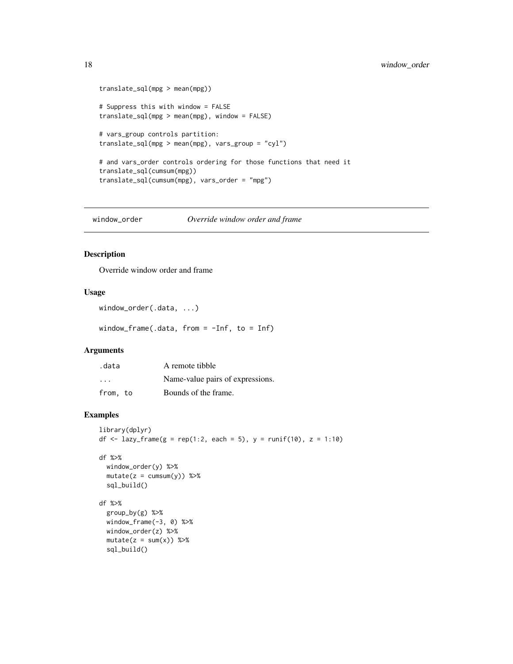```
translate_sql(mpg > mean(mpg))
# Suppress this with window = FALSE
translate_sql(mpg > mean(mpg), window = FALSE)
# vars_group controls partition:
translate_sql(mpg > mean(mpg), vars_group = "cyl")
# and vars_order controls ordering for those functions that need it
translate_sql(cumsum(mpg))
translate_sql(cumsum(mpg), vars_order = "mpg")
```
window\_order *Override window order and frame*

# Description

Override window order and frame

#### Usage

```
window_order(.data, ...)
```
window\_frame(.data, from = -Inf, to = Inf)

# Arguments

| .data    | A remote tibble                  |
|----------|----------------------------------|
| $\cdots$ | Name-value pairs of expressions. |
| from, to | Bounds of the frame.             |

```
library(dplyr)
df <- lazy_frame(g = rep(1:2, each = 5), y = runif(10), z = 1:10)
```

```
df %>%
 window_order(y) %>%
 mutate(z = cumsum(y)) %sql_build()
```

```
df %>%
 group_by(g) %>%
 window_frame(-3, 0) %>%
 window_order(z) %>%
 mutate(z = sum(x)) %sql_build()
```
<span id="page-17-0"></span>